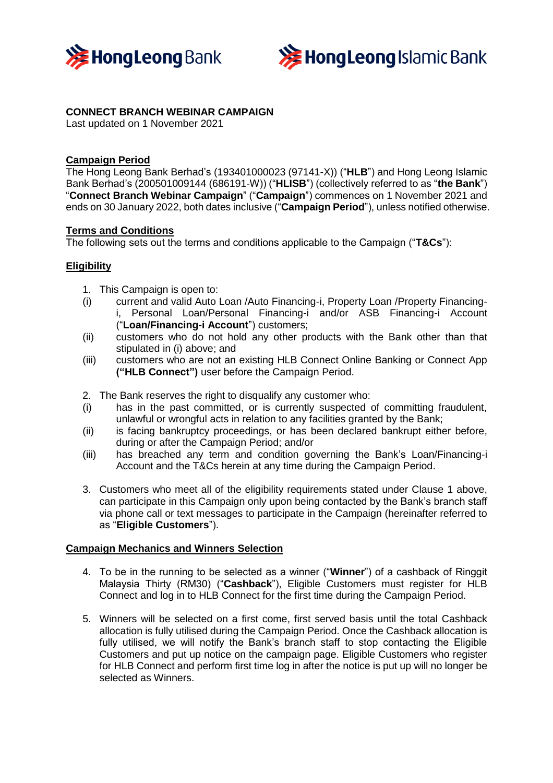



# **CONNECT BRANCH WEBINAR CAMPAIGN**

Last updated on 1 November 2021

# **Campaign Period**

The Hong Leong Bank Berhad's (193401000023 (97141-X)) ("**HLB**") and Hong Leong Islamic Bank Berhad's (200501009144 (686191-W)) ("**HLISB**") (collectively referred to as "**the Bank**") "**Connect Branch Webinar Campaign**" ("**Campaign**") commences on 1 November 2021 and ends on 30 January 2022, both dates inclusive ("**Campaign Period**"), unless notified otherwise.

## **Terms and Conditions**

The following sets out the terms and conditions applicable to the Campaign ("**T&Cs**"):

## **Eligibility**

- 1. This Campaign is open to:
- (i) current and valid Auto Loan /Auto Financing-i, Property Loan /Property Financingi, Personal Loan/Personal Financing-i and/or ASB Financing-i Account ("**Loan/Financing-i Account**") customers;
- (ii) customers who do not hold any other products with the Bank other than that stipulated in (i) above; and
- (iii) customers who are not an existing HLB Connect Online Banking or Connect App **("HLB Connect")** user before the Campaign Period.
- 2. The Bank reserves the right to disqualify any customer who:
- (i) has in the past committed, or is currently suspected of committing fraudulent, unlawful or wrongful acts in relation to any facilities granted by the Bank;
- (ii) is facing bankruptcy proceedings, or has been declared bankrupt either before, during or after the Campaign Period; and/or
- (iii) has breached any term and condition governing the Bank's Loan/Financing-i Account and the T&Cs herein at any time during the Campaign Period.
- 3. Customers who meet all of the eligibility requirements stated under Clause 1 above, can participate in this Campaign only upon being contacted by the Bank's branch staff via phone call or text messages to participate in the Campaign (hereinafter referred to as "**Eligible Customers**").

### **Campaign Mechanics and Winners Selection**

- 4. To be in the running to be selected as a winner ("**Winner**") of a cashback of Ringgit Malaysia Thirty (RM30) ("**Cashback**"), Eligible Customers must register for HLB Connect and log in to HLB Connect for the first time during the Campaign Period.
- 5. Winners will be selected on a first come, first served basis until the total Cashback allocation is fully utilised during the Campaign Period. Once the Cashback allocation is fully utilised, we will notify the Bank's branch staff to stop contacting the Eligible Customers and put up notice on the campaign page. Eligible Customers who register for HLB Connect and perform first time log in after the notice is put up will no longer be selected as Winners.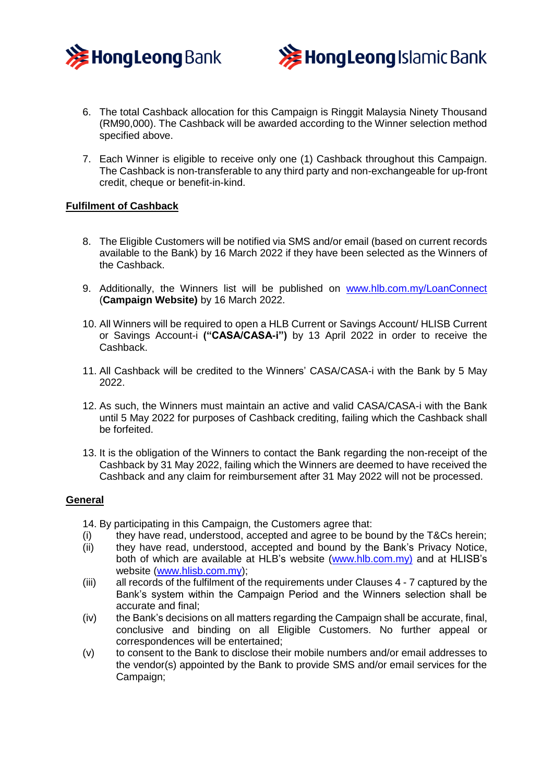



- 6. The total Cashback allocation for this Campaign is Ringgit Malaysia Ninety Thousand (RM90,000). The Cashback will be awarded according to the Winner selection method specified above.
- 7. Each Winner is eligible to receive only one (1) Cashback throughout this Campaign. The Cashback is non-transferable to any third party and non-exchangeable for up-front credit, cheque or benefit-in-kind.

## **Fulfilment of Cashback**

- 8. The Eligible Customers will be notified via SMS and/or email (based on current records available to the Bank) by 16 March 2022 if they have been selected as the Winners of the Cashback.
- 9. Additionally, the Winners list will be published on [www.hlb.com.my/LoanConnect](http://www.hlb.com.my/LoanConnect) (**Campaign Website)** by 16 March 2022.
- 10. All Winners will be required to open a HLB Current or Savings Account/ HLISB Current or Savings Account-i **("CASA/CASA-i")** by 13 April 2022 in order to receive the Cashback.
- 11. All Cashback will be credited to the Winners' CASA/CASA-i with the Bank by 5 May 2022.
- 12. As such, the Winners must maintain an active and valid CASA/CASA-i with the Bank until 5 May 2022 for purposes of Cashback crediting, failing which the Cashback shall be forfeited.
- 13. It is the obligation of the Winners to contact the Bank regarding the non-receipt of the Cashback by 31 May 2022, failing which the Winners are deemed to have received the Cashback and any claim for reimbursement after 31 May 2022 will not be processed.

### **General**

- 14. By participating in this Campaign, the Customers agree that:
- (i) they have read, understood, accepted and agree to be bound by the T&Cs herein;<br>(ii) they have read, understood, accepted and bound by the Bank's Privacy Notice,
- they have read, understood, accepted and bound by the Bank's Privacy Notice, both of which are available at HLB's website [\(www.hlb.com.my\)](http://www.hlb.com.my)/) and at HLISB's website [\(www.hlisb.com.my\)](http://www.hlisb.com.my/);
- (iii) all records of the fulfilment of the requirements under Clauses 4 7 captured by the Bank's system within the Campaign Period and the Winners selection shall be accurate and final;
- (iv) the Bank's decisions on all matters regarding the Campaign shall be accurate, final, conclusive and binding on all Eligible Customers. No further appeal or correspondences will be entertained;
- (v) to consent to the Bank to disclose their mobile numbers and/or email addresses to the vendor(s) appointed by the Bank to provide SMS and/or email services for the Campaign;